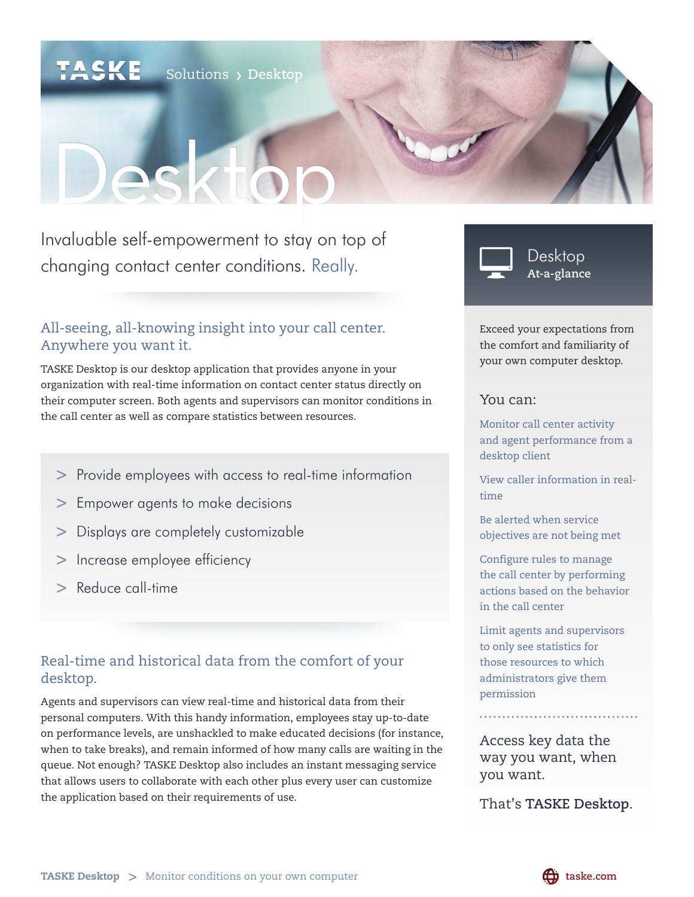# Solutions **Desktop**

# Desktop

Invaluable self-empowerment to stay on top of changing contact center conditions. Really.

## All-seeing, all-knowing insight into your call center. Anywhere you want it.

TASKE Desktop is our desktop application that provides anyone in your organization with real-time information on contact center status directly on their computer screen. Both agents and supervisors can monitor conditions in the call center as well as compare statistics between resources.

- **>** Provide employees with access to real-time information
- **>** Empower agents to make decisions
- **>** Displays are completely customizable
- **>** Increase employee efficiency
- **>** Reduce call-time

# Real-time and historical data from the comfort of your desktop.

Agents and supervisors can view real-time and historical data from their personal computers. With this handy information, employees stay up-to-date on performance levels, are unshackled to make educated decisions (for instance, when to take breaks), and remain informed of how many calls are waiting in the queue. Not enough? TASKE Desktop also includes an instant messaging service that allows users to collaborate with each other plus every user can customize the application based on their requirements of use.



Desktop **At-a-glance**

Exceed your expectations from the comfort and familiarity of your own computer desktop.

#### You can:

Monitor call center activity and agent performance from a desktop client

View caller information in realtime

Be alerted when service objectives are not being met

Configure rules to manage the call center by performing actions based on the behavior in the call center

Limit agents and supervisors to only see statistics for those resources to which administrators give them permission

Access key data the way you want, when you want.

That's **TASKE Desktop**.